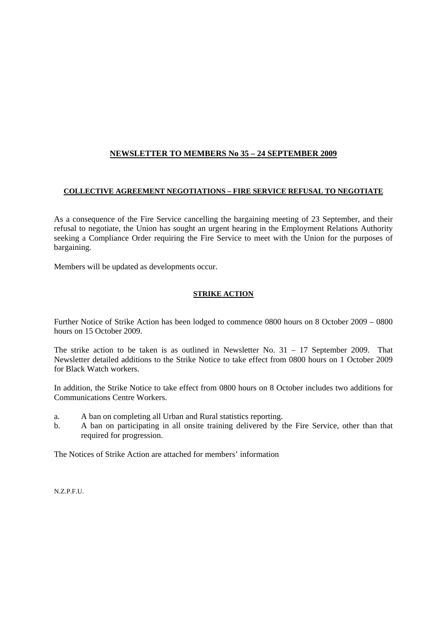# **NEWSLETTER TO MEMBERS No 35 – 24 SEPTEMBER 2009**

## **COLLECTIVE AGREEMENT NEGOTIATIONS – FIRE SERVICE REFUSAL TO NEGOTIATE**

As a consequence of the Fire Service cancelling the bargaining meeting of 23 September, and their refusal to negotiate, the Union has sought an urgent hearing in the Employment Relations Authority seeking a Compliance Order requiring the Fire Service to meet with the Union for the purposes of bargaining.

Members will be updated as developments occur.

#### **STRIKE ACTION**

Further Notice of Strike Action has been lodged to commence 0800 hours on 8 October 2009 – 0800 hours on 15 October 2009.

The strike action to be taken is as outlined in Newsletter No. 31 – 17 September 2009. That Newsletter detailed additions to the Strike Notice to take effect from 0800 hours on 1 October 2009 for Black Watch workers.

In addition, the Strike Notice to take effect from 0800 hours on 8 October includes two additions for Communications Centre Workers.

- a. A ban on completing all Urban and Rural statistics reporting.
- b. A ban on participating in all onsite training delivered by the Fire Service, other than that required for progression.

The Notices of Strike Action are attached for members' information

N.Z.P.F.U.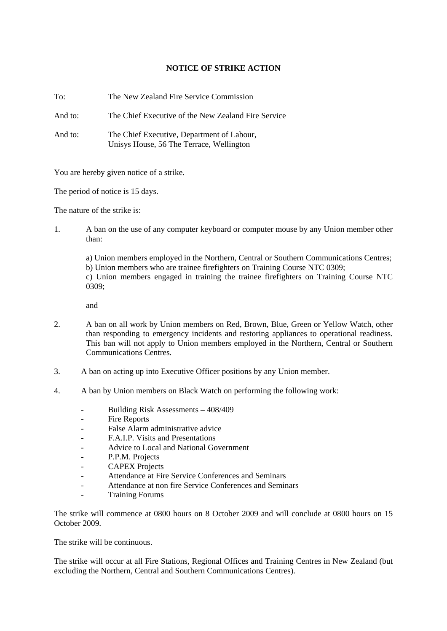## **NOTICE OF STRIKE ACTION**

To: The New Zealand Fire Service Commission

And to: The Chief Executive of the New Zealand Fire Service

And to: The Chief Executive, Department of Labour, Unisys House, 56 The Terrace, Wellington

You are hereby given notice of a strike.

The period of notice is 15 days.

The nature of the strike is:

1. A ban on the use of any computer keyboard or computer mouse by any Union member other than:

a) Union members employed in the Northern, Central or Southern Communications Centres; b) Union members who are trainee firefighters on Training Course NTC 0309; c) Union members engaged in training the trainee firefighters on Training Course NTC 0309;

and

- 2. A ban on all work by Union members on Red, Brown, Blue, Green or Yellow Watch, other than responding to emergency incidents and restoring appliances to operational readiness. This ban will not apply to Union members employed in the Northern, Central or Southern Communications Centres.
- 3. A ban on acting up into Executive Officer positions by any Union member.
- 4. A ban by Union members on Black Watch on performing the following work:
	- Building Risk Assessments 408/409
	- Fire Reports
	- False Alarm administrative advice
	- F.A.I.P. Visits and Presentations
	- Advice to Local and National Government
	- P.P.M. Projects
	- CAPEX Projects
	- Attendance at Fire Service Conferences and Seminars
	- Attendance at non fire Service Conferences and Seminars
	- Training Forums

The strike will commence at 0800 hours on 8 October 2009 and will conclude at 0800 hours on 15 October 2009.

The strike will be continuous.

The strike will occur at all Fire Stations, Regional Offices and Training Centres in New Zealand (but excluding the Northern, Central and Southern Communications Centres).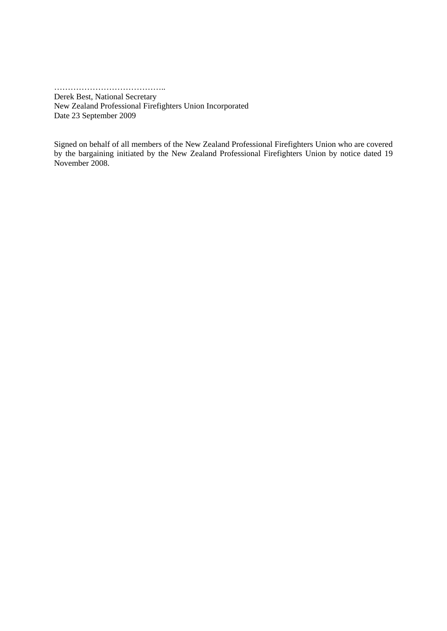………………………………………

Derek Best, National Secretary New Zealand Professional Firefighters Union Incorporated Date 23 September 2009

Signed on behalf of all members of the New Zealand Professional Firefighters Union who are covered by the bargaining initiated by the New Zealand Professional Firefighters Union by notice dated 19 November 2008.